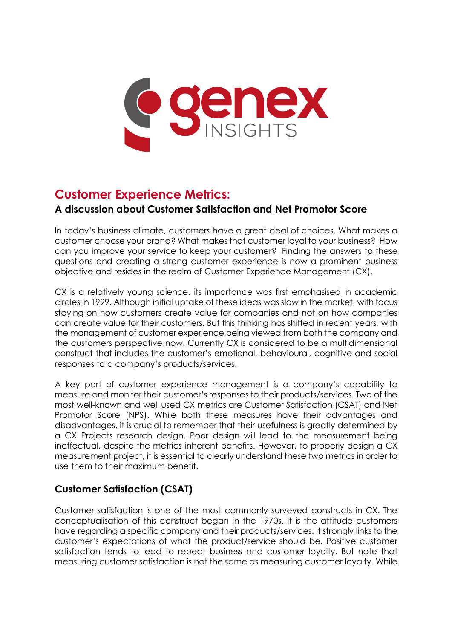

# **Customer Experience Metrics:**

## **A discussion about Customer Satisfaction and Net Promotor Score**

In today's business climate, customers have a great deal of choices. What makes a customer choose your brand? What makes that customer loyal to your business? How can you improve your service to keep your customer? Finding the answers to these questions and creating a strong customer experience is now a prominent business objective and resides in the realm of Customer Experience Management (CX).

CX is a relatively young science, its importance was first emphasised in academic circles in 1999. Although initial uptake of these ideas was slow in the market, with focus staying on how customers create value for companies and not on how companies can create value for their customers. But this thinking has shifted in recent years, with the management of customer experience being viewed from both the company and the customers perspective now. Currently CX is considered to be a multidimensional construct that includes the customer's emotional, behavioural, cognitive and social responses to a company's products/services.

A key part of customer experience management is a company's capability to measure and monitor their customer's responses to their products/services. Two of the most well-known and well used CX metrics are Customer Satisfaction (CSAT) and Net Promotor Score (NPS). While both these measures have their advantages and disadvantages, it is crucial to remember that their usefulness is greatly determined by a CX Projects research design. Poor design will lead to the measurement being ineffectual, despite the metrics inherent benefits. However, to properly design a CX measurement project, it is essential to clearly understand these two metrics in order to use them to their maximum benefit.

## **Customer Satisfaction (CSAT)**

Customer satisfaction is one of the most commonly surveyed constructs in CX. The conceptualisation of this construct began in the 1970s. It is the attitude customers have regarding a specific company and their products/services. It strongly links to the customer's expectations of what the product/service should be. Positive customer satisfaction tends to lead to repeat business and customer loyalty. But note that measuring customer satisfaction is not the same as measuring customer loyalty. While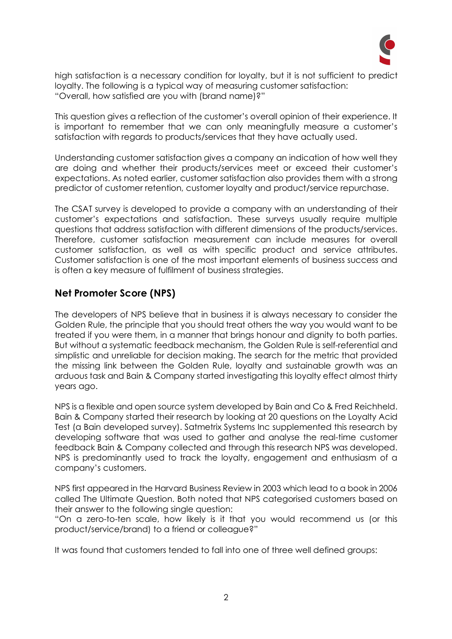

high satisfaction is a necessary condition for loyalty, but it is not sufficient to predict loyalty. The following is a typical way of measuring customer satisfaction: "Overall, how satisfied are you with (brand name)?"

This question gives a reflection of the customer's overall opinion of their experience. It is important to remember that we can only meaningfully measure a customer's satisfaction with regards to products/services that they have actually used.

Understanding customer satisfaction gives a company an indication of how well they are doing and whether their products/services meet or exceed their customer's expectations. As noted earlier, customer satisfaction also provides them with a strong predictor of customer retention, customer loyalty and product/service repurchase.

The CSAT survey is developed to provide a company with an understanding of their customer's expectations and satisfaction. These surveys usually require multiple questions that address satisfaction with different dimensions of the products/services. Therefore, customer satisfaction measurement can include measures for overall customer satisfaction, as well as with specific product and service attributes. Customer satisfaction is one of the most important elements of business success and is often a key measure of fulfilment of business strategies.

#### **Net Promoter Score (NPS)**

The developers of NPS believe that in business it is always necessary to consider the Golden Rule, the principle that you should treat others the way you would want to be treated if you were them, in a manner that brings honour and dignity to both parties. But without a systematic feedback mechanism, the Golden Rule is self-referential and simplistic and unreliable for decision making. The search for the metric that provided the missing link between the Golden Rule, loyalty and sustainable growth was an arduous task and Bain & Company started investigating this loyalty effect almost thirty years ago.

NPS is a flexible and open source system developed by Bain and Co & Fred Reichheld. Bain & Company started their research by looking at 20 questions on the Loyalty Acid Test (a Bain developed survey). Satmetrix Systems Inc supplemented this research by developing software that was used to gather and analyse the real-time customer feedback Bain & Company collected and through this research NPS was developed. NPS is predominantly used to track the loyalty, engagement and enthusiasm of a company's customers.

NPS first appeared in the Harvard Business Review in 2003 which lead to a book in 2006 called The Ultimate Question. Both noted that NPS categorised customers based on their answer to the following single question:

"On a zero-to-ten scale, how likely is it that you would recommend us (or this product/service/brand) to a friend or colleague?"

It was found that customers tended to fall into one of three well defined groups: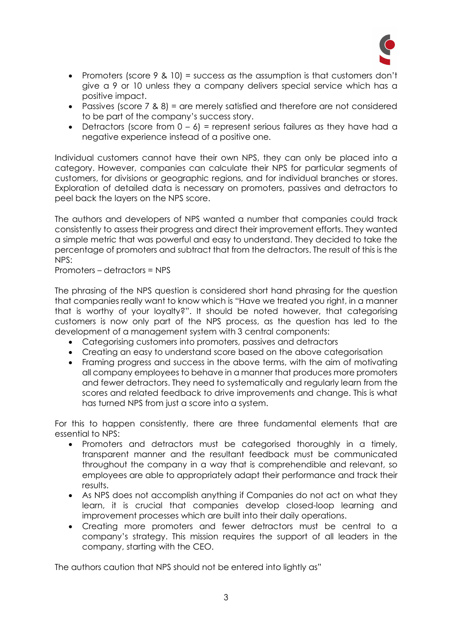

- Promoters (score 9 & 10) = success as the assumption is that customers don't give a 9 or 10 unless they a company delivers special service which has a positive impact.
- Passives (score 7 & 8) = are merely satisfied and therefore are not considered to be part of the company's success story.
- Detractors (score from  $0 6$ ) = represent serious failures as they have had a negative experience instead of a positive one.

Individual customers cannot have their own NPS, they can only be placed into a category. However, companies can calculate their NPS for particular segments of customers, for divisions or geographic regions, and for individual branches or stores. Exploration of detailed data is necessary on promoters, passives and detractors to peel back the layers on the NPS score.

The authors and developers of NPS wanted a number that companies could track consistently to assess their progress and direct their improvement efforts. They wanted a simple metric that was powerful and easy to understand. They decided to take the percentage of promoters and subtract that from the detractors. The result of this is the NPS:

Promoters – detractors = NPS

The phrasing of the NPS question is considered short hand phrasing for the question that companies really want to know which is "Have we treated you right, in a manner that is worthy of your loyalty?". It should be noted however, that categorising customers is now only part of the NPS process, as the question has led to the development of a management system with 3 central components:

- Categorising customers into promoters, passives and detractors
- Creating an easy to understand score based on the above categorisation
- Framing progress and success in the above terms, with the aim of motivating all company employees to behave in a manner that produces more promoters and fewer detractors. They need to systematically and regularly learn from the scores and related feedback to drive improvements and change. This is what has turned NPS from just a score into a system.

For this to happen consistently, there are three fundamental elements that are essential to NPS:

- Promoters and detractors must be categorised thoroughly in a timely, transparent manner and the resultant feedback must be communicated throughout the company in a way that is comprehendible and relevant, so employees are able to appropriately adapt their performance and track their results.
- As NPS does not accomplish anything if Companies do not act on what they learn, it is crucial that companies develop closed-loop learning and improvement processes which are built into their daily operations.
- Creating more promoters and fewer detractors must be central to a company's strategy. This mission requires the support of all leaders in the company, starting with the CEO.

The authors caution that NPS should not be entered into lightly as"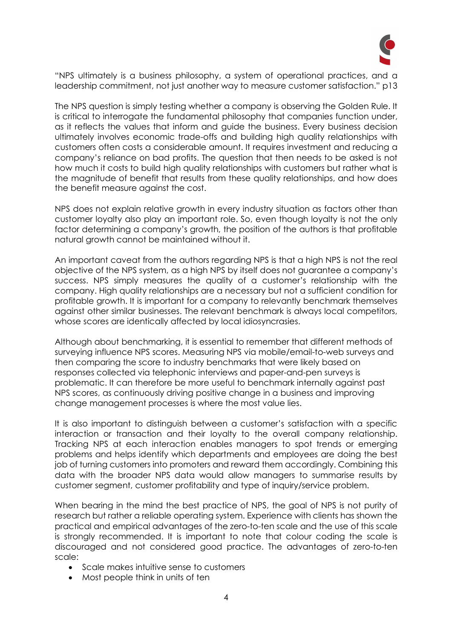

"NPS ultimately is a business philosophy, a system of operational practices, and a leadership commitment, not just another way to measure customer satisfaction." p13

The NPS question is simply testing whether a company is observing the Golden Rule. It is critical to interrogate the fundamental philosophy that companies function under, as it reflects the values that inform and guide the business. Every business decision ultimately involves economic trade-offs and building high quality relationships with customers often costs a considerable amount. It requires investment and reducing a company's reliance on bad profits. The question that then needs to be asked is not how much it costs to build high quality relationships with customers but rather what is the magnitude of benefit that results from these quality relationships, and how does the benefit measure against the cost.

NPS does not explain relative growth in every industry situation as factors other than customer loyalty also play an important role. So, even though loyalty is not the only factor determining a company's growth, the position of the authors is that profitable natural growth cannot be maintained without it.

An important caveat from the authors regarding NPS is that a high NPS is not the real objective of the NPS system, as a high NPS by itself does not guarantee a company's success. NPS simply measures the quality of a customer's relationship with the company. High quality relationships are a necessary but not a sufficient condition for profitable growth. It is important for a company to relevantly benchmark themselves against other similar businesses. The relevant benchmark is always local competitors, whose scores are identically affected by local idiosyncrasies.

Although about benchmarking, it is essential to remember that different methods of surveying influence NPS scores. Measuring NPS via mobile/email-to-web surveys and then comparing the score to industry benchmarks that were likely based on responses collected via telephonic interviews and paper-and-pen surveys is problematic. It can therefore be more useful to benchmark internally against past NPS scores, as continuously driving positive change in a business and improving change management processes is where the most value lies.

It is also important to distinguish between a customer's satisfaction with a specific interaction or transaction and their loyalty to the overall company relationship. Tracking NPS at each interaction enables managers to spot trends or emerging problems and helps identify which departments and employees are doing the best job of turning customers into promoters and reward them accordingly. Combining this data with the broader NPS data would allow managers to summarise results by customer segment, customer profitability and type of inquiry/service problem.

When bearing in the mind the best practice of NPS, the goal of NPS is not purity of research but rather a reliable operating system. Experience with clients has shown the practical and empirical advantages of the zero-to-ten scale and the use of this scale is strongly recommended. It is important to note that colour coding the scale is discouraged and not considered good practice. The advantages of zero-to-ten scale:

- Scale makes intuitive sense to customers
- Most people think in units of ten